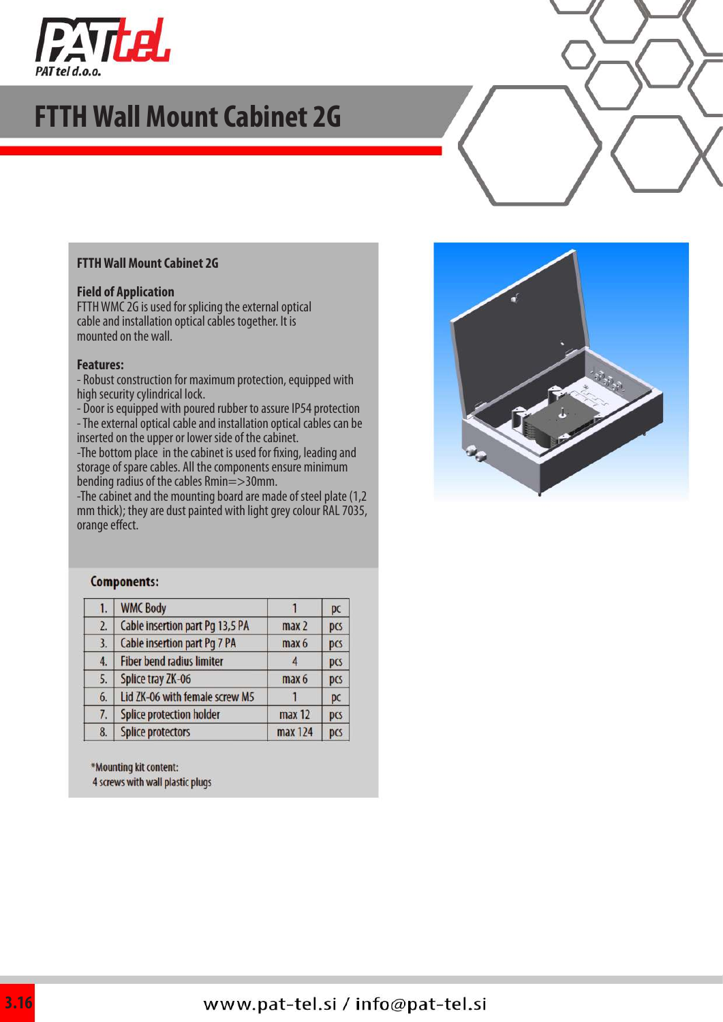

## **FTTH Wall Mount Cabinet 2G**

#### **FTTH Wall Mount Cabinet 2G**

#### **Field of Application**

FTTH WMC 2G is used for splicing the external optical cable and installation optical cables together. It is mounted on the wall.

#### **Features:**

- Robust construction for maximum protection, equipped with high security cylindrical lock.

- Door is equipped with poured rubber to assure IP54 protection

- The external optical cable and installation optical cables can be inserted on the upper or lower side of the cabinet.

-The bottom place in the cabinet is used for fixing, leading and storage of spare cables. All the components ensure minimum bending radius of the cables Rmin=>30mm.

-The cabinet and the mounting board are made of steel plate (1,2 mm thick); they are dust painted with light grey colour RAL 7035, orange effect.



#### Components:

| 1. | <b>WMC Body</b>                  |                  | pc  |
|----|----------------------------------|------------------|-----|
| 2. | Cable insertion part Pg 13,5 PA  | max <sub>2</sub> | pcs |
| 3. | Cable insertion part Pg 7 PA     | max 6            | pcs |
| 4. | <b>Fiber bend radius limiter</b> |                  | pcs |
| 5. | Splice tray ZK-06                | max 6            | pcs |
| 6. | Lid ZK-06 with female screw M5   |                  | pc  |
| 7. | <b>Splice protection holder</b>  | max 12           | pcs |
| 8. | <b>Splice protectors</b>         | max 124          | pcs |

\*Mounting kit content:

4 screws with wall plastic plugs